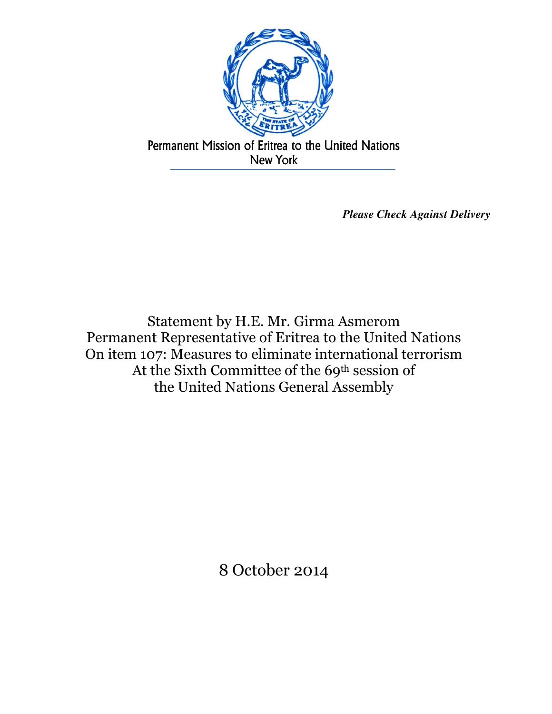

*Please Check Against Delivery* 

Statement by H.E. Mr. Girma Asmerom Permanent Representative of Eritrea to the United Nations On item 107: Measures to eliminate international terrorism At the Sixth Committee of the 69th session of the United Nations General Assembly

8 October 2014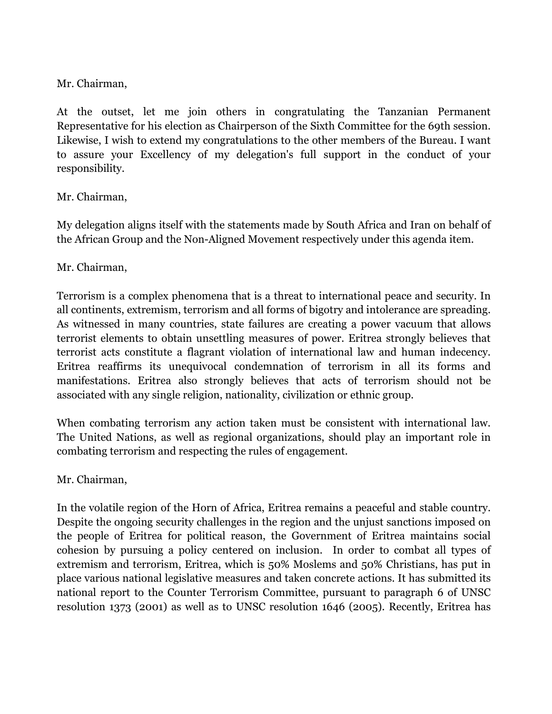Mr. Chairman,

At the outset, let me join others in congratulating the Tanzanian Permanent Representative for his election as Chairperson of the Sixth Committee for the 69th session. Likewise, I wish to extend my congratulations to the other members of the Bureau. I want to assure your Excellency of my delegation's full support in the conduct of your responsibility.

## Mr. Chairman,

My delegation aligns itself with the statements made by South Africa and Iran on behalf of the African Group and the Non-Aligned Movement respectively under this agenda item.

## Mr. Chairman,

Terrorism is a complex phenomena that is a threat to international peace and security. In all continents, extremism, terrorism and all forms of bigotry and intolerance are spreading. As witnessed in many countries, state failures are creating a power vacuum that allows terrorist elements to obtain unsettling measures of power. Eritrea strongly believes that terrorist acts constitute a flagrant violation of international law and human indecency. Eritrea reaffirms its unequivocal condemnation of terrorism in all its forms and manifestations. Eritrea also strongly believes that acts of terrorism should not be associated with any single religion, nationality, civilization or ethnic group.

When combating terrorism any action taken must be consistent with international law. The United Nations, as well as regional organizations, should play an important role in combating terrorism and respecting the rules of engagement.

## Mr. Chairman,

In the volatile region of the Horn of Africa, Eritrea remains a peaceful and stable country. Despite the ongoing security challenges in the region and the unjust sanctions imposed on the people of Eritrea for political reason, the Government of Eritrea maintains social cohesion by pursuing a policy centered on inclusion. In order to combat all types of extremism and terrorism, Eritrea, which is 50% Moslems and 50% Christians, has put in place various national legislative measures and taken concrete actions. It has submitted its national report to the Counter Terrorism Committee, pursuant to paragraph 6 of UNSC resolution 1373 (2001) as well as to UNSC resolution 1646 (2005). Recently, Eritrea has